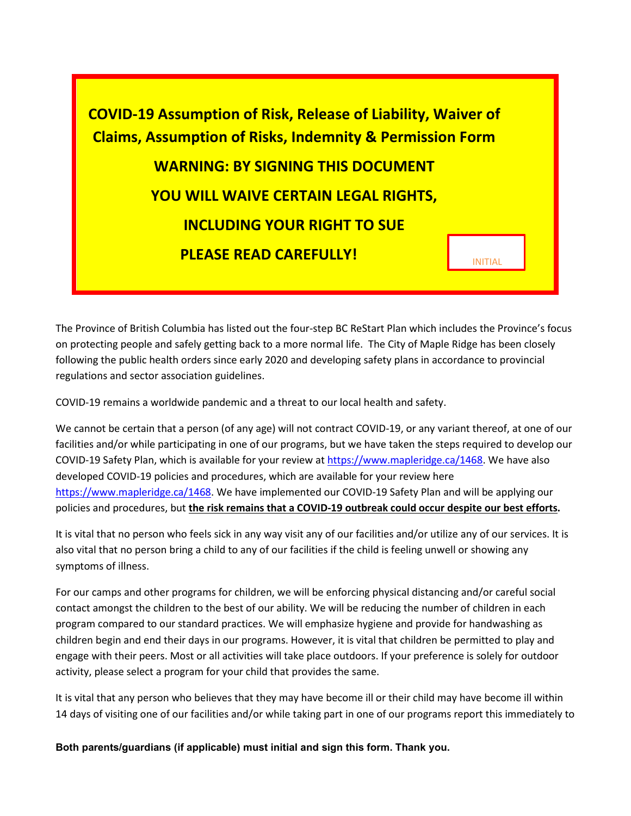

The Province of British Columbia has listed out the four-step BC ReStart Plan which includes the Province's focus on protecting people and safely getting back to a more normal life. The City of Maple Ridge has been closely following the public health orders since early 2020 and developing safety plans in accordance to provincial regulations and sector association guidelines.

COVID-19 remains a worldwide pandemic and a threat to our local health and safety.

We cannot be certain that a person (of any age) will not contract COVID-19, or any variant thereof, at one of our facilities and/or while participating in one of our programs, but we have taken the steps required to develop our COVID-19 Safety Plan, which is available for your review a[t https://www.mapleridge.ca/1468.](https://www.mapleridge.ca/1468) We have also developed COVID-19 policies and procedures, which are available for your review here [https://www.mapleridge.ca/1468.](https://www.mapleridge.ca/1468) We have implemented our COVID-19 Safety Plan and will be applying our policies and procedures, but **the risk remains that a COVID-19 outbreak could occur despite our best efforts.** 

It is vital that no person who feels sick in any way visit any of our facilities and/or utilize any of our services. It is also vital that no person bring a child to any of our facilities if the child is feeling unwell or showing any symptoms of illness.

For our camps and other programs for children, we will be enforcing physical distancing and/or careful social contact amongst the children to the best of our ability. We will be reducing the number of children in each program compared to our standard practices. We will emphasize hygiene and provide for handwashing as children begin and end their days in our programs. However, it is vital that children be permitted to play and engage with their peers. Most or all activities will take place outdoors. If your preference is solely for outdoor activity, please select a program for your child that provides the same.

It is vital that any person who believes that they may have become ill or their child may have become ill within 14 days of visiting one of our facilities and/or while taking part in one of our programs report this immediately to

**Both parents/guardians (if applicable) must initial and sign this form. Thank you.**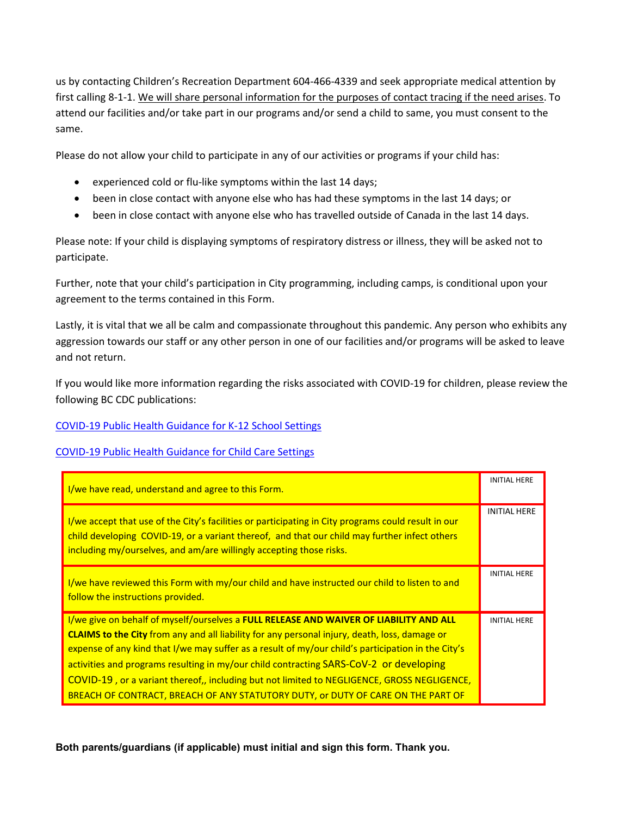us by contacting Children's Recreation Department 604-466-4339 and seek appropriate medical attention by first calling 8-1-1. We will share personal information for the purposes of contact tracing if the need arises. To attend our facilities and/or take part in our programs and/or send a child to same, you must consent to the same.

Please do not allow your child to participate in any of our activities or programs if your child has:

- experienced cold or flu-like symptoms within the last 14 days;
- been in close contact with anyone else who has had these symptoms in the last 14 days; or
- been in close contact with anyone else who has travelled outside of Canada in the last 14 days.

Please note: If your child is displaying symptoms of respiratory distress or illness, they will be asked not to participate.

Further, note that your child's participation in City programming, including camps, is conditional upon your agreement to the terms contained in this Form.

Lastly, it is vital that we all be calm and compassionate throughout this pandemic. Any person who exhibits any aggression towards our staff or any other person in one of our facilities and/or programs will be asked to leave and not return.

If you would like more information regarding the risks associated with COVID-19 for children, please review the following BC CDC publications:

## [COVID-19 Public Health Guidance for K-12 School Settings](https://www2.gov.bc.ca/assets/gov/health/about-bc-s-health-care-system/office-of-the-provincial-health-officer/covid-19/covid-19-pho-guidance-k-12-schools.pdf)

## [COVID-19 Public Health Guidance for Child Care Settings](https://www2.gov.bc.ca/assets/gov/health/about-bc-s-health-care-system/office-of-the-provincial-health-officer/covid-19/covid-19-pho-guidance-childcare.pdf)

| I/we have read, understand and agree to this Form.                                                                                                                                                                                                                                                                                                                                                                                                                                                                                                                                | <b>INITIAL HERE</b> |
|-----------------------------------------------------------------------------------------------------------------------------------------------------------------------------------------------------------------------------------------------------------------------------------------------------------------------------------------------------------------------------------------------------------------------------------------------------------------------------------------------------------------------------------------------------------------------------------|---------------------|
| I/we accept that use of the City's facilities or participating in City programs could result in our<br>child developing COVID-19, or a variant thereof, and that our child may further infect others<br>including my/ourselves, and am/are willingly accepting those risks.                                                                                                                                                                                                                                                                                                       | <b>INITIAL HERE</b> |
| I/we have reviewed this Form with my/our child and have instructed our child to listen to and<br>follow the instructions provided.                                                                                                                                                                                                                                                                                                                                                                                                                                                | <b>INITIAL HERE</b> |
| I/we give on behalf of myself/ourselves a FULL RELEASE AND WAIVER OF LIABILITY AND ALL<br><b>CLAIMS to the City</b> from any and all liability for any personal injury, death, loss, damage or<br>expense of any kind that I/we may suffer as a result of my/our child's participation in the City's<br>activities and programs resulting in my/our child contracting SARS-CoV-2 or developing<br>COVID-19, or a variant thereof,, including but not limited to NEGLIGENCE, GROSS NEGLIGENCE,<br>BREACH OF CONTRACT, BREACH OF ANY STATUTORY DUTY, or DUTY OF CARE ON THE PART OF | <b>INITIAL HERE</b> |

**Both parents/guardians (if applicable) must initial and sign this form. Thank you.**